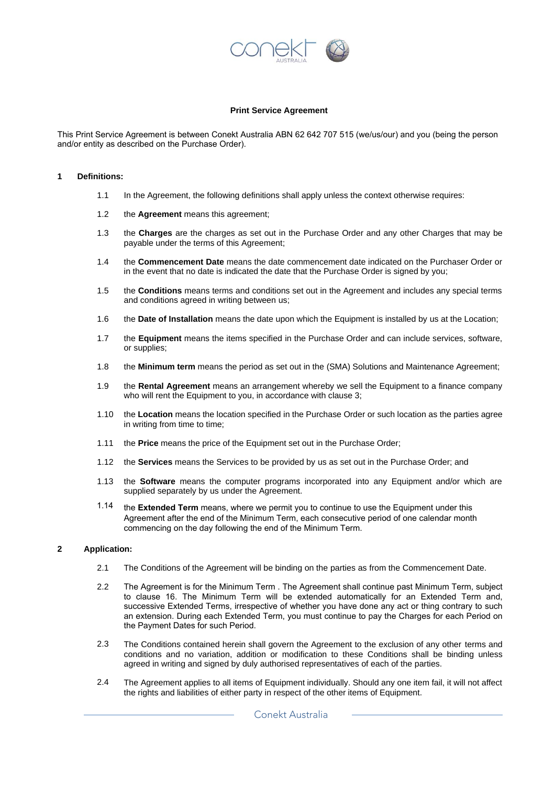

# **Print Service Agreement**

This Print Service Agreement is between Conekt Australia ABN 62 642 707 515 (we/us/our) and you (being the person and/or entity as described on the Purchase Order).

## **1 Definitions:**

- 1.1 In the Agreement, the following definitions shall apply unless the context otherwise requires:
- 1.2 the **Agreement** means this agreement;
- 1.3 the **Charges** are the charges as set out in the Purchase Order and any other Charges that may be payable under the terms of this Agreement;
- 1.4 the **Commencement Date** means the date commencement date indicated on the Purchaser Order or in the event that no date is indicated the date that the Purchase Order is signed by you;
- 1.5 the **Conditions** means terms and conditions set out in the Agreement and includes any special terms and conditions agreed in writing between us;
- 1.6 the **Date of Installation** means the date upon which the Equipment is installed by us at the Location;
- 1.7 the **Equipment** means the items specified in the Purchase Order and can include services, software, or supplies;
- 1.8 the **Minimum term** means the period as set out in the (SMA) Solutions and Maintenance Agreement;
- 1.9 the **Rental Agreement** means an arrangement whereby we sell the Equipment to a finance company who will rent the Equipment to you, in accordance with clause 3;
- 1.10 the **Location** means the location specified in the Purchase Order or such location as the parties agree in writing from time to time;
- 1.11 the **Price** means the price of the Equipment set out in the Purchase Order;
- 1.12 the **Services** means the Services to be provided by us as set out in the Purchase Order; and
- 1.13 the **Software** means the computer programs incorporated into any Equipment and/or which are supplied separately by us under the Agreement.
- the **Extended Term** means, where we permit you to continue to use the Equipment under this Agreement after the end of the Minimum Term, each consecutive period of one calendar month commencing on the day following the end of the Minimum Term. 1.14

# **2 Application:**

- 2.1 The Conditions of the Agreement will be binding on the parties as from the Commencement Date.
- 2.2 The Agreement is for the Minimum Term . The Agreement shall continue past Minimum Term, subject to clause 16. The Minimum Term will be extended automatically for an Extended Term and, successive Extended Terms, irrespective of whether you have done any act or thing contrary to such an extension. During each Extended Term, you must continue to pay the Charges for each Period on the Payment Dates for such Period.
- 2.3 The Conditions contained herein shall govern the Agreement to the exclusion of any other terms and conditions and no variation, addition or modification to these Conditions shall be binding unless agreed in writing and signed by duly authorised representatives of each of the parties.
- 2.4 The Agreement applies to all items of Equipment individually. Should any one item fail, it will not affect the rights and liabilities of either party in respect of the other items of Equipment.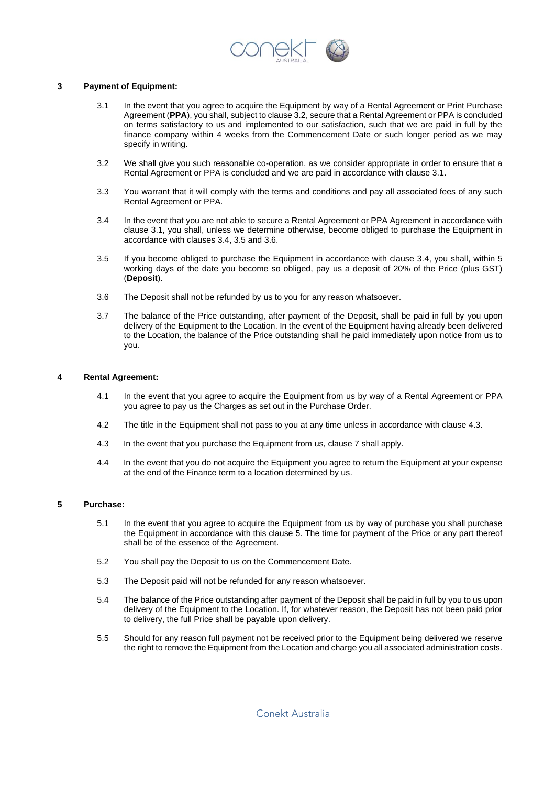

# **3 Payment of Equipment:**

- 3.1 In the event that you agree to acquire the Equipment by way of a Rental Agreement or Print Purchase Agreement (**PPA**), you shall, subject to clause 3.2, secure that a Rental Agreement or PPA is concluded on terms satisfactory to us and implemented to our satisfaction, such that we are paid in full by the finance company within 4 weeks from the Commencement Date or such longer period as we may specify in writing.
- 3.2 We shall give you such reasonable co-operation, as we consider appropriate in order to ensure that a Rental Agreement or PPA is concluded and we are paid in accordance with clause 3.1.
- 3.3 You warrant that it will comply with the terms and conditions and pay all associated fees of any such Rental Agreement or PPA.
- 3.4 In the event that you are not able to secure a Rental Agreement or PPA Agreement in accordance with clause 3.1, you shall, unless we determine otherwise, become obliged to purchase the Equipment in accordance with clauses 3.4, 3.5 and 3.6.
- 3.5 If you become obliged to purchase the Equipment in accordance with clause 3.4, you shall, within 5 working days of the date you become so obliged, pay us a deposit of 20% of the Price (plus GST) (**Deposit**).
- 3.6 The Deposit shall not be refunded by us to you for any reason whatsoever.
- 3.7 The balance of the Price outstanding, after payment of the Deposit, shall be paid in full by you upon delivery of the Equipment to the Location. In the event of the Equipment having already been delivered to the Location, the balance of the Price outstanding shall he paid immediately upon notice from us to you.

# **4 Rental Agreement:**

- 4.1 In the event that you agree to acquire the Equipment from us by way of a Rental Agreement or PPA you agree to pay us the Charges as set out in the Purchase Order.
- 4.2 The title in the Equipment shall not pass to you at any time unless in accordance with clause 4.3.
- 4.3 In the event that you purchase the Equipment from us, clause 7 shall apply.
- 4.4 In the event that you do not acquire the Equipment you agree to return the Equipment at your expense at the end of the Finance term to a location determined by us.

# **5 Purchase:**

- 5.1 In the event that you agree to acquire the Equipment from us by way of purchase you shall purchase the Equipment in accordance with this clause 5. The time for payment of the Price or any part thereof shall be of the essence of the Agreement.
- 5.2 You shall pay the Deposit to us on the Commencement Date.
- 5.3 The Deposit paid will not be refunded for any reason whatsoever.
- 5.4 The balance of the Price outstanding after payment of the Deposit shall be paid in full by you to us upon delivery of the Equipment to the Location. If, for whatever reason, the Deposit has not been paid prior to delivery, the full Price shall be payable upon delivery.
- 5.5 Should for any reason full payment not be received prior to the Equipment being delivered we reserve the right to remove the Equipment from the Location and charge you all associated administration costs.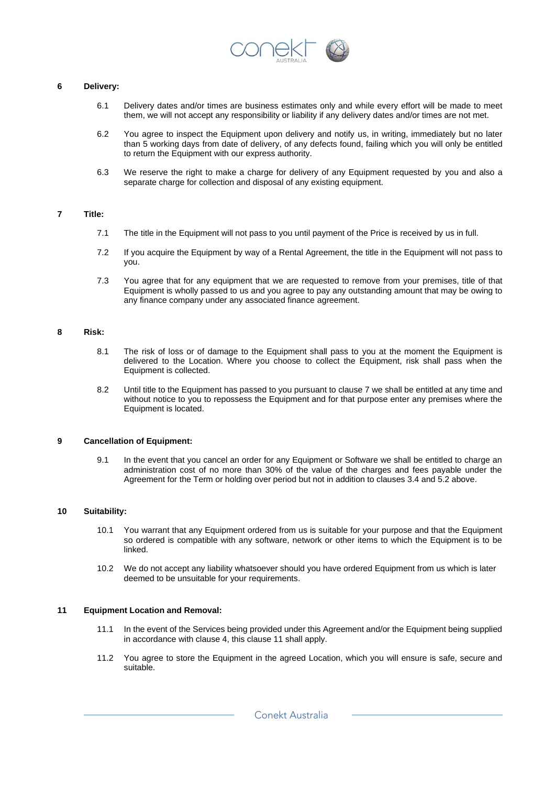

# **6 Delivery:**

- 6.1 Delivery dates and/or times are business estimates only and while every effort will be made to meet them, we will not accept any responsibility or liability if any delivery dates and/or times are not met.
- 6.2 You agree to inspect the Equipment upon delivery and notify us, in writing, immediately but no later than 5 working days from date of delivery, of any defects found, failing which you will only be entitled to return the Equipment with our express authority.
- 6.3 We reserve the right to make a charge for delivery of any Equipment requested by you and also a separate charge for collection and disposal of any existing equipment.

## **7 Title:**

- 7.1 The title in the Equipment will not pass to you until payment of the Price is received by us in full.
- 7.2 If you acquire the Equipment by way of a Rental Agreement, the title in the Equipment will not pass to you.
- 7.3 You agree that for any equipment that we are requested to remove from your premises, title of that Equipment is wholly passed to us and you agree to pay any outstanding amount that may be owing to any finance company under any associated finance agreement.

# **8 Risk:**

- 8.1 The risk of loss or of damage to the Equipment shall pass to you at the moment the Equipment is delivered to the Location. Where you choose to collect the Equipment, risk shall pass when the Equipment is collected.
- 8.2 Until title to the Equipment has passed to you pursuant to clause 7 we shall be entitled at any time and without notice to you to repossess the Equipment and for that purpose enter any premises where the Equipment is located.

## **9 Cancellation of Equipment:**

9.1 In the event that you cancel an order for any Equipment or Software we shall be entitled to charge an administration cost of no more than 30% of the value of the charges and fees payable under the Agreement for the Term or holding over period but not in addition to clauses 3.4 and 5.2 above.

## **10 Suitability:**

- 10.1 You warrant that any Equipment ordered from us is suitable for your purpose and that the Equipment so ordered is compatible with any software, network or other items to which the Equipment is to be linked.
- 10.2 We do not accept any liability whatsoever should you have ordered Equipment from us which is later deemed to be unsuitable for your requirements.

## **11 Equipment Location and Removal:**

- 11.1 In the event of the Services being provided under this Agreement and/or the Equipment being supplied in accordance with clause 4, this clause 11 shall apply.
- 11.2 You agree to store the Equipment in the agreed Location, which you will ensure is safe, secure and suitable.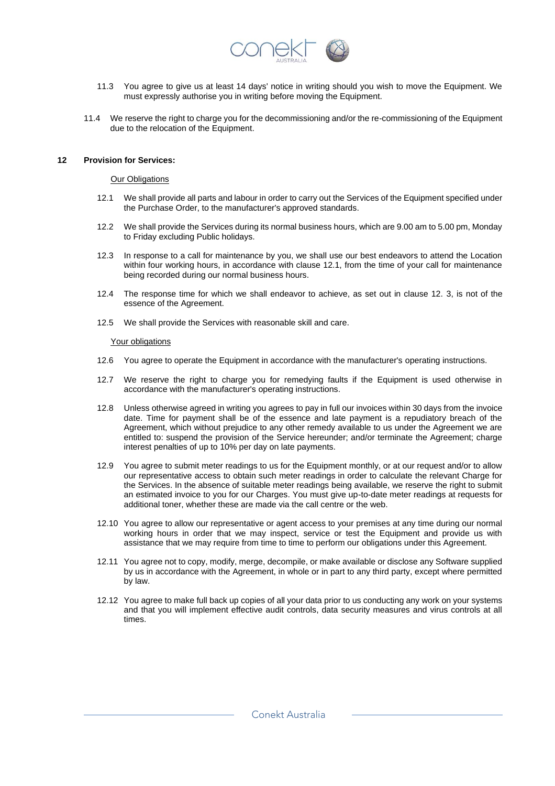

- 11.3 You agree to give us at least 14 days' notice in writing should you wish to move the Equipment. We must expressly authorise you in writing before moving the Equipment.
- 11.4 We reserve the right to charge you for the decommissioning and/or the re-commissioning of the Equipment due to the relocation of the Equipment.

# **12 Provision for Services:**

# Our Obligations

- 12.1 We shall provide all parts and labour in order to carry out the Services of the Equipment specified under the Purchase Order, to the manufacturer's approved standards.
- 12.2 We shall provide the Services during its normal business hours, which are 9.00 am to 5.00 pm, Monday to Friday excluding Public holidays.
- 12.3 In response to a call for maintenance by you, we shall use our best endeavors to attend the Location within four working hours, in accordance with clause 12.1, from the time of your call for maintenance being recorded during our normal business hours.
- 12.4 The response time for which we shall endeavor to achieve, as set out in clause 12. 3, is not of the essence of the Agreement.
- 12.5 We shall provide the Services with reasonable skill and care.

### Your obligations

- 12.6 You agree to operate the Equipment in accordance with the manufacturer's operating instructions.
- 12.7 We reserve the right to charge you for remedying faults if the Equipment is used otherwise in accordance with the manufacturer's operating instructions.
- 12.8 Unless otherwise agreed in writing you agrees to pay in full our invoices within 30 days from the invoice date. Time for payment shall be of the essence and late payment is a repudiatory breach of the Agreement, which without prejudice to any other remedy available to us under the Agreement we are entitled to: suspend the provision of the Service hereunder; and/or terminate the Agreement; charge interest penalties of up to 10% per day on late payments.
- 12.9 You agree to submit meter readings to us for the Equipment monthly, or at our request and/or to allow our representative access to obtain such meter readings in order to calculate the relevant Charge for the Services. In the absence of suitable meter readings being available, we reserve the right to submit an estimated invoice to you for our Charges. You must give up-to-date meter readings at requests for additional toner, whether these are made via the call centre or the web.
- 12.10 You agree to allow our representative or agent access to your premises at any time during our normal working hours in order that we may inspect, service or test the Equipment and provide us with assistance that we may require from time to time to perform our obligations under this Agreement.
- 12.11 You agree not to copy, modify, merge, decompile, or make available or disclose any Software supplied by us in accordance with the Agreement, in whole or in part to any third party, except where permitted by law.
- 12.12 You agree to make full back up copies of all your data prior to us conducting any work on your systems and that you will implement effective audit controls, data security measures and virus controls at all times.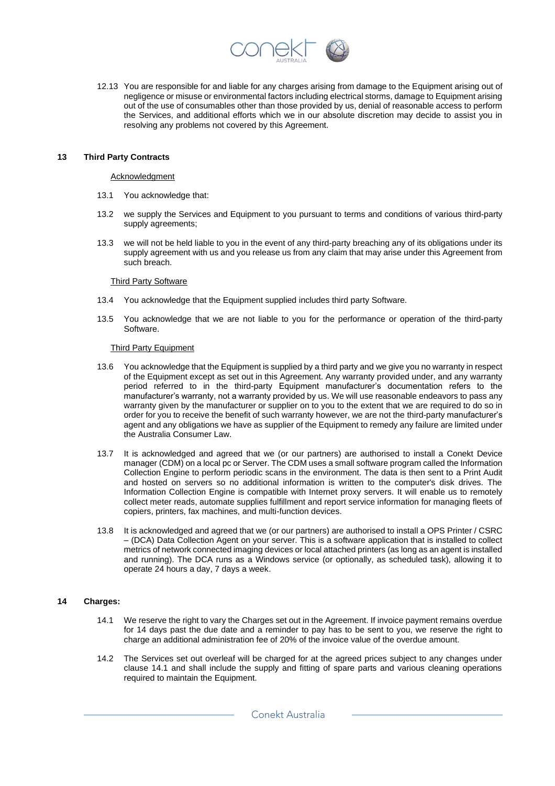

12.13 You are responsible for and liable for any charges arising from damage to the Equipment arising out of negligence or misuse or environmental factors including electrical storms, damage to Equipment arising out of the use of consumables other than those provided by us, denial of reasonable access to perform the Services, and additional efforts which we in our absolute discretion may decide to assist you in resolving any problems not covered by this Agreement.

# **13 Third Party Contracts**

## **Acknowledgment**

- 13.1 You acknowledge that:
- 13.2 we supply the Services and Equipment to you pursuant to terms and conditions of various third-party supply agreements;
- 13.3 we will not be held liable to you in the event of any third-party breaching any of its obligations under its supply agreement with us and you release us from any claim that may arise under this Agreement from such breach.

# Third Party Software

- 13.4 You acknowledge that the Equipment supplied includes third party Software.
- 13.5 You acknowledge that we are not liable to you for the performance or operation of the third-party Software.

## Third Party Equipment

- 13.6 You acknowledge that the Equipment is supplied by a third party and we give you no warranty in respect of the Equipment except as set out in this Agreement. Any warranty provided under, and any warranty period referred to in the third-party Equipment manufacturer's documentation refers to the manufacturer's warranty, not a warranty provided by us. We will use reasonable endeavors to pass any warranty given by the manufacturer or supplier on to you to the extent that we are required to do so in order for you to receive the benefit of such warranty however, we are not the third-party manufacturer's agent and any obligations we have as supplier of the Equipment to remedy any failure are limited under the Australia Consumer Law.
- 13.7 It is acknowledged and agreed that we (or our partners) are authorised to install a Conekt Device manager (CDM) on a local pc or Server. The CDM uses a small software program called the Information Collection Engine to perform periodic scans in the environment. The data is then sent to a Print Audit and hosted on servers so no additional information is written to the computer's disk drives. The Information Collection Engine is compatible with Internet proxy servers. It will enable us to remotely collect meter reads, automate supplies fulfillment and report service information for managing fleets of copiers, printers, fax machines, and multi-function devices.
- 13.8 It is acknowledged and agreed that we (or our partners) are authorised to install a OPS Printer / CSRC – (DCA) Data Collection Agent on your server. This is a software application that is installed to collect metrics of network connected imaging devices or local attached printers (as long as an agent is installed and running). The DCA runs as a Windows service (or optionally, as scheduled task), allowing it to operate 24 hours a day, 7 days a week.

# **14 Charges:**

- 14.1 We reserve the right to vary the Charges set out in the Agreement. If invoice payment remains overdue for 14 days past the due date and a reminder to pay has to be sent to you, we reserve the right to charge an additional administration fee of 20% of the invoice value of the overdue amount.
- 14.2 The Services set out overleaf will be charged for at the agreed prices subject to any changes under clause 14.1 and shall include the supply and fitting of spare parts and various cleaning operations required to maintain the Equipment.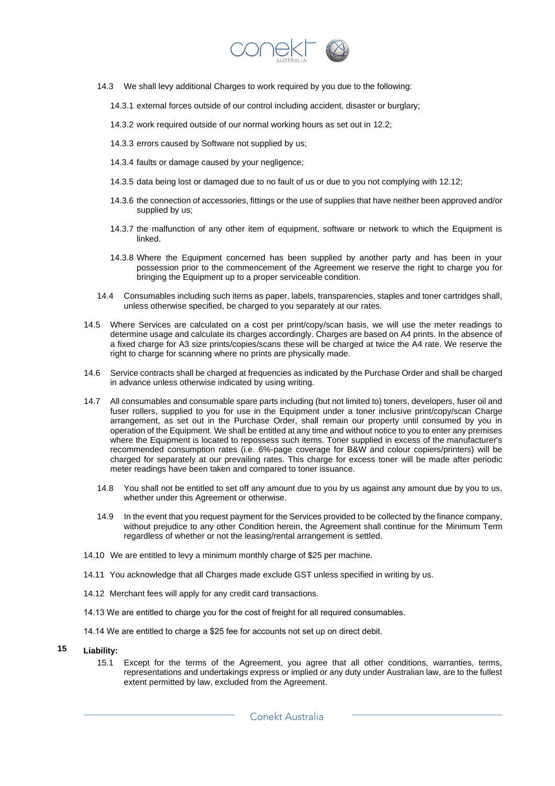

- 14.3 We shall levy additional Charges to work required by you due to the following:
	- 14.3.1 external forces outside of our control including accident, disaster or burglary;
	- 14.3.2 work required outside of our normal working hours as set out in 12.2;
	- 14.3.3 errors caused by Software not supplied by us;
	- 14.3.4 faults or damage caused by your negligence;
	- 14.3.5 data being lost or damaged due to no fault of us or due to you not complying with 12.12;
	- 14.3.6 the connection of accessories, fittings or the use of supplies that have neither been approved and/or supplied by us;
	- 14.3.7 the malfunction of any other item of equipment, software or network to which the Equipment is linked.
	- 14.3.8 Where the Equipment concerned has been supplied by another party and has been in your possession prior to the commencement of the Agreement we reserve the right to charge you for bringing the Equipment up to a proper serviceable condition.
- 14.4 Consumables including such items as paper, labels, transparencies, staples and toner cartridges shall, unless otherwise specified, be charged to you separately at our rates.
- 14.5 Where Services are calculated on a cost per print/copy/scan basis, we will use the meter readings to determine usage and calculate its charges accordingly. Charges are based on A4 prints. In the absence of a fixed charge for A3 size prints/copies/scans these will be charged at twice the A4 rate. We reserve the right to charge for scanning where no prints are physically made.
- 14.6 Service contracts shall be charged at frequencies as indicated by the Purchase Order and shall be charged in advance unless otherwise indicated by using writing.
- 14.7 All consumables and consumable spare parts including (but not limited to) toners, developers, fuser oil and fuser rollers, supplied to you for use in the Equipment under a toner inclusive print/copy/scan Charge arrangement, as set out in the Purchase Order, shall remain our property until consumed by you in operation of the Equipment. We shall be entitled at any time and without notice to you to enter any premises where the Equipment is located to repossess such items. Toner supplied in excess of the manufacturer's recommended consumption rates (i.e. 6%-page coverage for B&W and colour copiers/printers) will be charged for separately at our prevailing rates. This charge for excess toner will be made after periodic meter readings have been taken and compared to toner issuance.
	- 14.8 You shall not be entitled to set off any amount due to you by us against any amount due by you to us, whether under this Agreement or otherwise.
	- 14.9 In the event that you request payment for the Services provided to be collected by the finance company, without prejudice to any other Condition herein, the Agreement shall continue for the Minimum Term regardless of whether or not the leasing/rental arrangement is settled.
- 14.10 We are entitled to levy a minimum monthly charge of \$25 per machine.
- 14.11 You acknowledge that all Charges made exclude GST unless specified in writing by us.
- 14.12 Merchant fees will apply for any credit card transactions.
- 14.13 We are entitled to charge you for the cost of freight for all required consumables.
- 14.14 We are entitled to charge a \$25 fee for accounts not set up on direct debit.

#### **15 Liability:**

15.1 Except for the terms of the Agreement, you agree that all other conditions, warranties, terms, representations and undertakings express or implied or any duty under Australian law, are to the fullest extent permitted by law, excluded from the Agreement.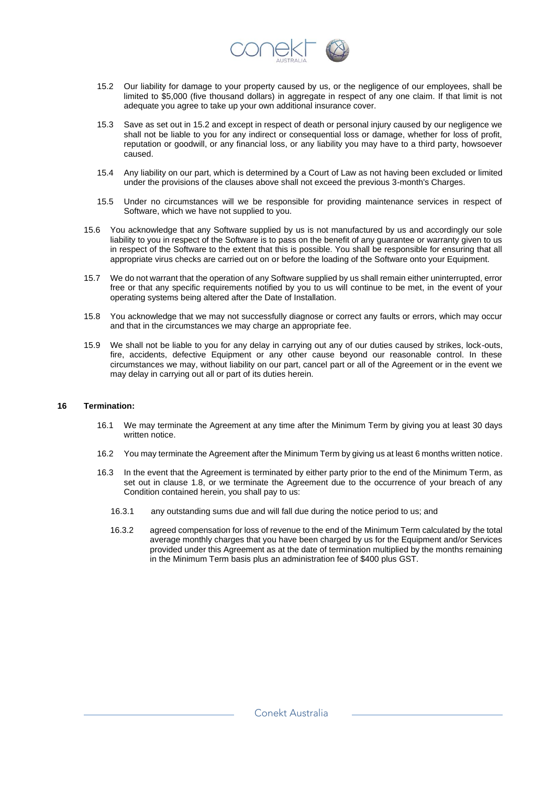

- 15.2 Our liability for damage to your property caused by us, or the negligence of our employees, shall be limited to \$5,000 (five thousand dollars) in aggregate in respect of any one claim. If that limit is not adequate you agree to take up your own additional insurance cover.
- 15.3 Save as set out in 15.2 and except in respect of death or personal injury caused by our negligence we shall not be liable to you for any indirect or consequential loss or damage, whether for loss of profit, reputation or goodwill, or any financial loss, or any liability you may have to a third party, howsoever caused.
- 15.4 Any liability on our part, which is determined by a Court of Law as not having been excluded or limited under the provisions of the clauses above shall not exceed the previous 3-month's Charges.
- 15.5 Under no circumstances will we be responsible for providing maintenance services in respect of Software, which we have not supplied to you.
- 15.6 You acknowledge that any Software supplied by us is not manufactured by us and accordingly our sole liability to you in respect of the Software is to pass on the benefit of any guarantee or warranty given to us in respect of the Software to the extent that this is possible. You shall be responsible for ensuring that all appropriate virus checks are carried out on or before the loading of the Software onto your Equipment.
- 15.7 We do not warrant that the operation of any Software supplied by us shall remain either uninterrupted, error free or that any specific requirements notified by you to us will continue to be met, in the event of your operating systems being altered after the Date of Installation.
- 15.8 You acknowledge that we may not successfully diagnose or correct any faults or errors, which may occur and that in the circumstances we may charge an appropriate fee.
- 15.9 We shall not be liable to you for any delay in carrying out any of our duties caused by strikes, lock-outs, fire, accidents, defective Equipment or any other cause beyond our reasonable control. In these circumstances we may, without liability on our part, cancel part or all of the Agreement or in the event we may delay in carrying out all or part of its duties herein.

## **16 Termination:**

- 16.1 We may terminate the Agreement at any time after the Minimum Term by giving you at least 30 days written notice.
- 16.2 You may terminate the Agreement after the Minimum Term by giving us at least 6 months written notice.
- 16.3 In the event that the Agreement is terminated by either party prior to the end of the Minimum Term, as set out in clause 1.8, or we terminate the Agreement due to the occurrence of your breach of any Condition contained herein, you shall pay to us:
	- 16.3.1 any outstanding sums due and will fall due during the notice period to us; and
	- 16.3.2 agreed compensation for loss of revenue to the end of the Minimum Term calculated by the total average monthly charges that you have been charged by us for the Equipment and/or Services provided under this Agreement as at the date of termination multiplied by the months remaining in the Minimum Term basis plus an administration fee of \$400 plus GST.